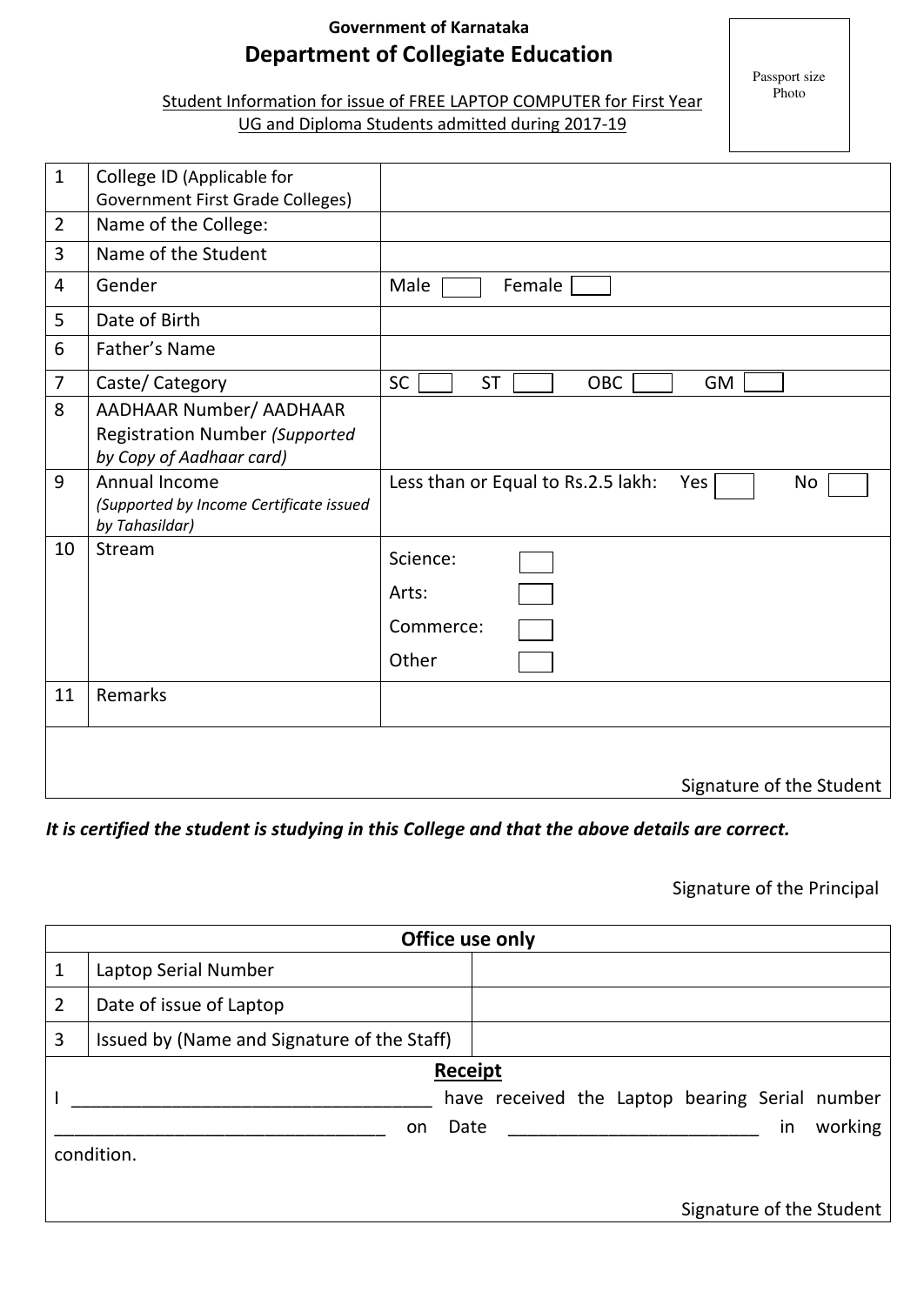# **Government of Karnataka Department of Collegiate Education**

Passport size Photo

# Student Information for issue of FREE LAPTOP COMPUTER for First Year

## UG and Diploma Students admitted during 2017-19

| $\mathbf{1}$   | College ID (Applicable for<br>Government First Grade Colleges)                                      |                                                        |
|----------------|-----------------------------------------------------------------------------------------------------|--------------------------------------------------------|
| $\overline{2}$ | Name of the College:                                                                                |                                                        |
| 3              | Name of the Student                                                                                 |                                                        |
| 4              | Gender                                                                                              | Female<br>Male                                         |
| 5              | Date of Birth                                                                                       |                                                        |
| 6              | Father's Name                                                                                       |                                                        |
| $\overline{7}$ | Caste/ Category                                                                                     | <b>SC</b><br><b>ST</b><br>OBC<br>GM                    |
| 8              | <b>AADHAAR Number/ AADHAAR</b><br><b>Registration Number (Supported</b><br>by Copy of Aadhaar card) |                                                        |
| 9              | Annual Income<br>(Supported by Income Certificate issued<br>by Tahasildar)                          | Less than or Equal to Rs.2.5 lakh:<br><b>No</b><br>Yes |
| 10             | Stream                                                                                              | Science:<br>Arts:<br>Commerce:<br>Other                |
| 11             | Remarks                                                                                             |                                                        |
|                |                                                                                                     | Signature of the Student                               |

#### *It is certified the student is studying in this College and that the above details are correct.*

### Signature of the Principal

| Office use only |                                             |                                                |  |  |  |    |                          |  |  |  |
|-----------------|---------------------------------------------|------------------------------------------------|--|--|--|----|--------------------------|--|--|--|
| 1               | Laptop Serial Number                        |                                                |  |  |  |    |                          |  |  |  |
| $\overline{2}$  | Date of issue of Laptop                     |                                                |  |  |  |    |                          |  |  |  |
| 3               | Issued by (Name and Signature of the Staff) |                                                |  |  |  |    |                          |  |  |  |
| Receipt         |                                             |                                                |  |  |  |    |                          |  |  |  |
|                 |                                             | have received the Laptop bearing Serial number |  |  |  |    |                          |  |  |  |
|                 | Date<br>on                                  |                                                |  |  |  | in | working                  |  |  |  |
| condition.      |                                             |                                                |  |  |  |    |                          |  |  |  |
|                 |                                             |                                                |  |  |  |    | Signature of the Student |  |  |  |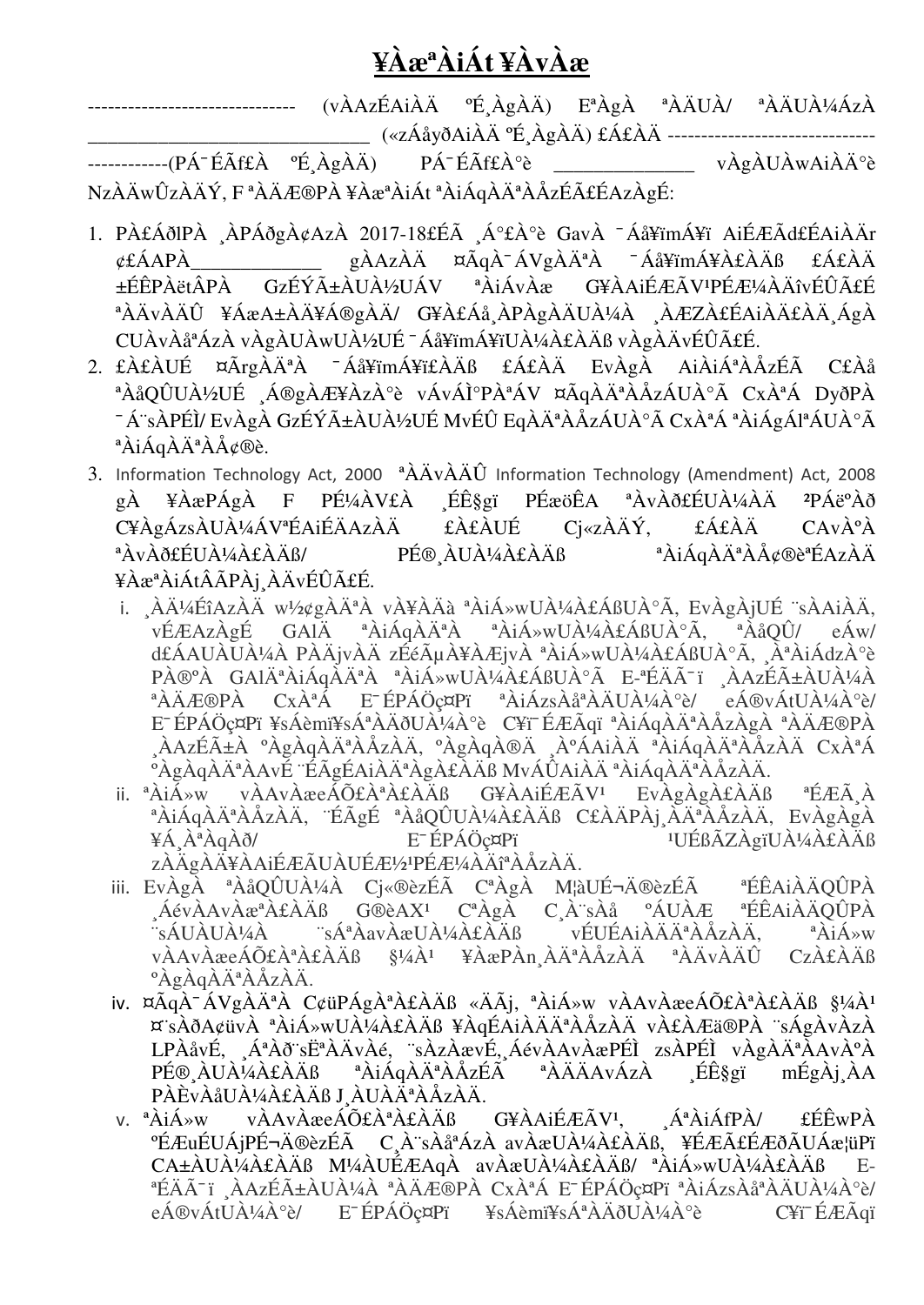# **¥ÀæªÀiÁt ¥ÀvÀæ**

------------------------------- (vÀAzÉAiÀÄ ºÉ¸ÀgÀÄ) EªÀgÀ ªÀÄUÀ/ ªÀÄUÀ¼ÁzÀ \_\_\_\_\_\_\_\_\_\_\_\_\_\_\_\_\_\_\_\_\_\_\_\_\_\_\_\_ («zÁåyðAiÀÄ ºÉ¸ÀgÀÄ) £Á£ÀÄ ------------------------------- ------------(PÁ¯ÉÃf£À ºÉ¸ÀgÀÄ) PÁ¯ÉÃf£À°è \_\_\_\_\_\_\_\_\_\_\_\_\_ vÀgÀUÀwAiÀİè NzÀÄwÛzÀÄÝ, F<sup>ª</sup>ÀÄÆ®PÀ¥ÀæªÀiÁt<sup>ª</sup>ÀiÁqÀĪÀÅzÉãÉAzÀgÉ:

- 1. PÀ£ÁðlPÀ ¸ÀPÁðgÀ¢AzÀ 2017-18£Éà ¸Á°£À°è GavÀ ¯ Áå¥ïmÁ¥ï AiÉÆÃd£ÉAiÀÄr ¢£ÁAPÀ\_\_\_\_\_\_\_\_\_\_\_\_\_ gÀAzÀÄ ¤ÃqÀ¯ ÁVgÀĪÀ ¯ Áå¥ïmÁ¥À£ÀÄß £Á£ÀÄ ±ÉÊPÀëtÂPÀ GzÉÝñÀUÀ½UÁV <sup>a</sup>ÀjÁvÀæ G¥ÀAjÉÆÃV<sup>1</sup>PÉÆ¼ÀÄîvÉÛãÉ <sup>ª</sup>ÀÄvÀÄÛ ¥ÁæA±ÀÄ¥Á®gÀÄ/ G¥À£Áå ÀPÀgÀÄUÀ¼À ¸ÀÆZÀ£ÉAiÀÄ£ÀĸÁgÀ CUÀvÀåªÁzÀ vÀgÀUÀwUÀ½UÉ ¯ Áå¥ïmÁ¥ïUÀ¼À£ÀÄß vÀgÀÄvÉÛãÉ.
- 2. £À£ÀUÉ ¤ÃrgÀĪÀ ¯ Áå¥ïmÁ¥ï£ÀÄß £Á£ÀÄ EvÀgÀ AiÀiÁªÀÅzÉà C£Àå <sup>a</sup>ÀåQÛUÀ½UÉ Á®gÀÆ¥ÀzÀ°è vÁvÁ̰PÀªÁV ¤ÃqÀĪÀÅzÁUÀ°Ã CxÀªÁ DyðPÀ <sup>-</sup>Á~sÀPÉÌ/ EvÀgÀ GzÉÝñÀUÀ½UÉ MvÉÛ EqÀĪÀÅzÁUÀ°Ã CxÀªÁ ªÀiÁgÁlªÁUÀ°Ã <sup>a</sup>ÀiÁqÀÄ<sup>a</sup>ÀÅ¢®è.
- 3. Information Technology Act, 2000 <sup>a</sup> $\ddot{\text{A}}\text{A}\text{v}\dot{\text{A}}\text{A}\hat{\text{U}}$  Information Technology (Amendment) Act, 2008 gÀ ¥ÀæPÁgÀ F PɼÀV£À ∟Éʧgï PÉæöÊA ªÀvÀð£ÉUÀ¼ÀÄ <sup>2</sup>PÁë°Àð C¥ÀgÁzsÀUÀ¼ÁVªÉAiÉÄAzÀÄ £À£ÀUÉ Cj«zÀÄÝ, £Á£ÀÄ CAvÀºÀ ªÀvÀð£ÉUÀ¼À£ÀÄß/ PÉ®¸ÀUÀ¼À£ÀÄß ªÀiÁqÀĪÀÅ¢®èªÉAzÀÄ ¥ÀæªÀiÁtÂÃPÀj¸ÀÄvÉÛãÉ.
	- i. ¸ÀļÉîAzÀÄ w½¢gÀĪÀ vÀ¥ÀÄà ªÀiÁ»wUÀ¼À£ÁßUÀ°Ã, EvÀgÀjUÉ ¨sÀAiÀÄ, vÉÆAzÀgÉ GAlÄ ªÀiÁqÀĪÀ ªÀiÁ»wUÀ¼À£ÁßUÀ°Ã, ªÀåQÛ/ eÁw/ d£ÁAUÀUÀ¼À PÀÄjvÀÄ zÉéõÀ¥ÀÆjvÀ ªÀiÁ»wUÀ¼À£ÁßUÀ°Ã, ¸ÀªÀiÁdzÀ°è PÀ®<sup>o</sup>À GAlÄ<sup>ª</sup>ÀiÁqĂĪÀ ªÀiÁ»wUÀ¼À£ÁßUÀ°Ã E-ªÉÄÃ<sup>-</sup>ï ¸ÀAzÉñÀUÀ¼À ªÀÄÆ®PÀ CxÀªÁ E¯ ÉPÁÖç¤Pï ªÀiÁzsÀåªÀÄUÀ¼À°è/ eÁ®vÁtUÀ¼À°è/ EƒPÁÖç¤Pï ¥sÁèmï¥sÁªÀÄðUÀ¼À°è C¥ï¯ÉÆÃqï ªÀiÁqÀĪÀÅzÀgÀ ªÀÄÆ®PÀ ¸ÀAzÉñÀ ºÀgÀqÀĪÀÅzÀÄ, ºÀgÀqÀ®Ä ¸ÀºÁAiÀÄ ªÀiÁqÀĪÀÅzÀÄ CxÀªÁ °ÀgÀqÀĪÀAvÉ ¨ÉÃgÉAiÀĪÀgÀ£ÀÄß MvÁÛAiÀÄ ªÀiÁqÀĪÀÅzÀÄ.
	- ii. <sup>a</sup>ÀiÁ»w vÀAvÀæeÁÕ£ÀªÀ£ÀÄß G¥ÀAiÉÆÃV<sup>1</sup> EvÀgÀgÀ£ÀÄß ªÉÆÃ¸À <sup>ª</sup>ÀiÁqÀĪÀÅzÀÄ, ¨ÉÃgÉ ªÀåQÛUÀ¼À£ÀÄß C£ÀÄPÀj¸ÀĪÀÅzÀÄ, EvÀgÀgÀ ¥Á¸ÀªÀqÀð/ E¯ ÉPÁÖç¤Pï ¹UÉßÃZÀgïUÀ¼À£ÀÄß zÀÄgÀÄ¥ÀAiÉÆÃUÀUÉÆ½¤PÉÆ¼ÀÄîªÀÅzÀÄ.
	- iii. EvÀgÀ ªÀåQÛUÀ¼À Cj«®èzÉà CªÀgÀ M¦àUɬÄ®èzÉà ªÉÊAiÀÄQÛPÀ ,ÁévÀAvÀæªÀ£ÀÄß G®èAX<sup>1</sup> CªÀgÀ C¸À¨sÀå ºÁUÀÆ ªÉÊAiÀÄQÛPÀ ¨sÁUÀUÀ¼À ¨sÁªÀavÀæUÀ¼À£ÀÄß vÉUÉAiÀÄĪÀÅzÀÄ, ªÀiÁ»w vÀAvÀæeÁÕ£ÀªÀ£ÀÄß §¼À<sup>1</sup> ¥ÀæPÀn¸ÀĪÀÅzÀÄ<sup>a</sup> ªÀÄvÀÄÛ CzÀ£ÀÄß <sup>o</sup>ÀgÀqÀĪÀÅzÀÄ.
	- iv. ¤ÃqÀ<sup>-</sup>ÁVgÀĪÀ C¢üPÁgÀªÀ£ÀÄß «ÄÃj, ªÀiÁ»w vÀAvÀæeÁÕ£ÀªÀ£ÀÄß §¼À<sup>1</sup> ¤¨sÀðA¢üvÀ ªÀiÁ»wUÀ¼À£ÀÄß ¥ÀqÉAiÀÄĪÀÅzÀÄ vÀ£ÀÆä®PÀ ¨sÁgÀvÀzÀ LPÀåvÉ, ¸ÁªÀð¨s˪ÀÄvÀé, ¨sÀzÀævÉ,¸ÁévÀAvÀæPÉÌ zsÀPÉÌ vÀgÀĪÀAvÀºÀ PÉ®¸ÀUÀ¼À£ÀÄß ªÀiÁqÀĪÀÅzÉà ªÀÄÄAvÁzÀ ¸Éʧgï mÉgÀj¸ÀA PÀÈvÀåUÀ¼À£ÀÄß J¸ÀUÀĪÀÅzÀÄ.
	- v.  $a\lambda i\Lambda w$  v $\lambda A v\lambda x eA \tilde{O}E \lambda^a \lambda E \lambda A B$  G¥ $\lambda A i \tilde{E} E \tilde{A} V^1$ ,  $A^a \lambda i \tilde{A} f P \lambda /$   $E \tilde{E} w P \lambda$ °ÉÆuÉUÁjPɬÄ®èzÉà C¸À¨sÀåªÁzÀ avÀæUÀ¼À£ÀÄß, ¥ÉÆÃ£ÉÆðÃUÁæ¦üPï CA±ÀUÀ¼À£ÀÄß M¼ÀUÉÆAqÀ avÀæUÀ¼À£ÀÄß/ ªÀiÁ»wUÀ¼À£ÀÄß E-ªÉÄï ï ¸ÀAzÉñÀUÀ¼À ªÀÄÆ®PÀ CxÀªÁ E¯ ÉPÁÖç¤Pï ªÀiÁzsÀåªÀÄUÀ¼À°è/ eÁ®vÁtUÀ¼À°è/ E¯ ÉPÁÖç¤Pï ¥sÁèmï¥sÁªÀÄðUÀ¼À°è C¥ï¯ ÉÆÃqï